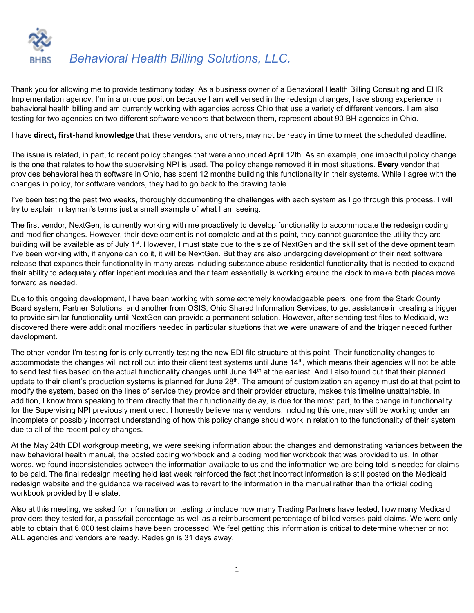

Thank you for allowing me to provide testimony today. As a business owner of a Behavioral Health Billing Consulting and EHR Implementation agency, I'm in a unique position because I am well versed in the redesign changes, have strong experience in behavioral health billing and am currently working with agencies across Ohio that use a variety of different vendors. I am also testing for two agencies on two different software vendors that between them, represent about 90 BH agencies in Ohio.

I have **direct, first-hand knowledge** that these vendors, and others, may not be ready in time to meet the scheduled deadline.

The issue is related, in part, to recent policy changes that were announced April 12th. As an example, one impactful policy change is the one that relates to how the supervising NPI is used. The policy change removed it in most situations. **Every** vendor that provides behavioral health software in Ohio, has spent 12 months building this functionality in their systems. While I agree with the changes in policy, for software vendors, they had to go back to the drawing table.

I've been testing the past two weeks, thoroughly documenting the challenges with each system as I go through this process. I will try to explain in layman's terms just a small example of what I am seeing.

The first vendor, NextGen, is currently working with me proactively to develop functionality to accommodate the redesign coding and modifier changes. However, their development is not complete and at this point, they cannot guarantee the utility they are building will be available as of July 1<sup>st</sup>. However, I must state due to the size of NextGen and the skill set of the development team I've been working with, if anyone can do it, it will be NextGen. But they are also undergoing development of their next software release that expands their functionality in many areas including substance abuse residential functionality that is needed to expand their ability to adequately offer inpatient modules and their team essentially is working around the clock to make both pieces move forward as needed.

Due to this ongoing development, I have been working with some extremely knowledgeable peers, one from the Stark County Board system, Partner Solutions, and another from OSIS, Ohio Shared Information Services, to get assistance in creating a trigger to provide similar functionality until NextGen can provide a permanent solution. However, after sending test files to Medicaid, we discovered there were additional modifiers needed in particular situations that we were unaware of and the trigger needed further development.

The other vendor I'm testing for is only currently testing the new EDI file structure at this point. Their functionality changes to accommodate the changes will not roll out into their client test systems until June 14<sup>th</sup>, which means their agencies will not be able to send test files based on the actual functionality changes until June 14<sup>th</sup> at the earliest. And I also found out that their planned update to their client's production systems is planned for June  $28<sup>th</sup>$ . The amount of customization an agency must do at that point to modify the system, based on the lines of service they provide and their provider structure, makes this timeline unattainable. In addition, I know from speaking to them directly that their functionality delay, is due for the most part, to the change in functionality for the Supervising NPI previously mentioned. I honestly believe many vendors, including this one, may still be working under an incomplete or possibly incorrect understanding of how this policy change should work in relation to the functionality of their system due to all of the recent policy changes.

At the May 24th EDI workgroup meeting, we were seeking information about the changes and demonstrating variances between the new behavioral health manual, the posted coding workbook and a coding modifier workbook that was provided to us. In other words, we found inconsistencies between the information available to us and the information we are being told is needed for claims to be paid. The final redesign meeting held last week reinforced the fact that incorrect information is still posted on the Medicaid redesign website and the guidance we received was to revert to the information in the manual rather than the official coding workbook provided by the state.

Also at this meeting, we asked for information on testing to include how many Trading Partners have tested, how many Medicaid providers they tested for, a pass/fail percentage as well as a reimbursement percentage of billed verses paid claims. We were only able to obtain that 6,000 test claims have been processed. We feel getting this information is critical to determine whether or not ALL agencies and vendors are ready. Redesign is 31 days away.